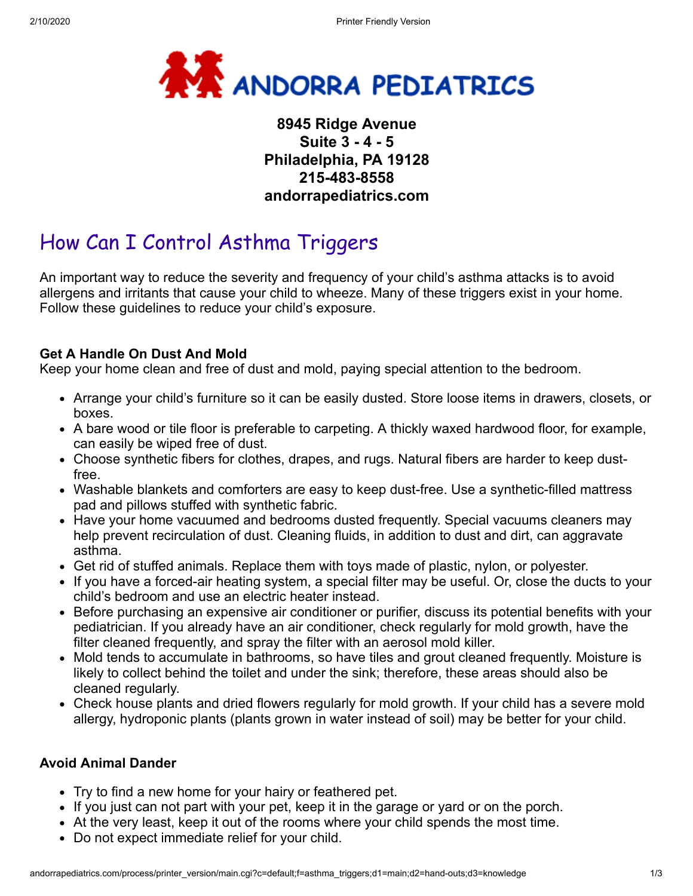

## **8945 Ridge Avenue Suite 3 - 4 - 5 Philadelphia, PA 19128 215-483-8558 andorrapediatrics.com**

# How Can I Control Asthma Triggers

An important way to reduce the severity and frequency of your child's asthma attacks is to avoid allergens and irritants that cause your child to wheeze. Many of these triggers exist in your home. Follow these guidelines to reduce your child's exposure.

### **Get A Handle On Dust And Mold**

Keep your home clean and free of dust and mold, paying special attention to the bedroom.

- Arrange your child's furniture so it can be easily dusted. Store loose items in drawers, closets, or boxes.
- A bare wood or tile floor is preferable to carpeting. A thickly waxed hardwood floor, for example, can easily be wiped free of dust.
- Choose synthetic fibers for clothes, drapes, and rugs. Natural fibers are harder to keep dustfree.
- Washable blankets and comforters are easy to keep dust-free. Use a synthetic-filled mattress pad and pillows stuffed with synthetic fabric.
- Have your home vacuumed and bedrooms dusted frequently. Special vacuums cleaners may help prevent recirculation of dust. Cleaning fluids, in addition to dust and dirt, can aggravate asthma.
- Get rid of stuffed animals. Replace them with toys made of plastic, nylon, or polyester.
- If you have a forced-air heating system, a special filter may be useful. Or, close the ducts to your child's bedroom and use an electric heater instead.
- Before purchasing an expensive air conditioner or purifier, discuss its potential benefits with your pediatrician. If you already have an air conditioner, check regularly for mold growth, have the filter cleaned frequently, and spray the filter with an aerosol mold killer.
- Mold tends to accumulate in bathrooms, so have tiles and grout cleaned frequently. Moisture is likely to collect behind the toilet and under the sink; therefore, these areas should also be cleaned regularly.
- Check house plants and dried flowers regularly for mold growth. If your child has a severe mold allergy, hydroponic plants (plants grown in water instead of soil) may be better for your child.

#### **Avoid Animal Dander**

- Try to find a new home for your hairy or feathered pet.
- If you just can not part with your pet, keep it in the garage or yard or on the porch.
- At the very least, keep it out of the rooms where your child spends the most time.
- Do not expect immediate relief for your child.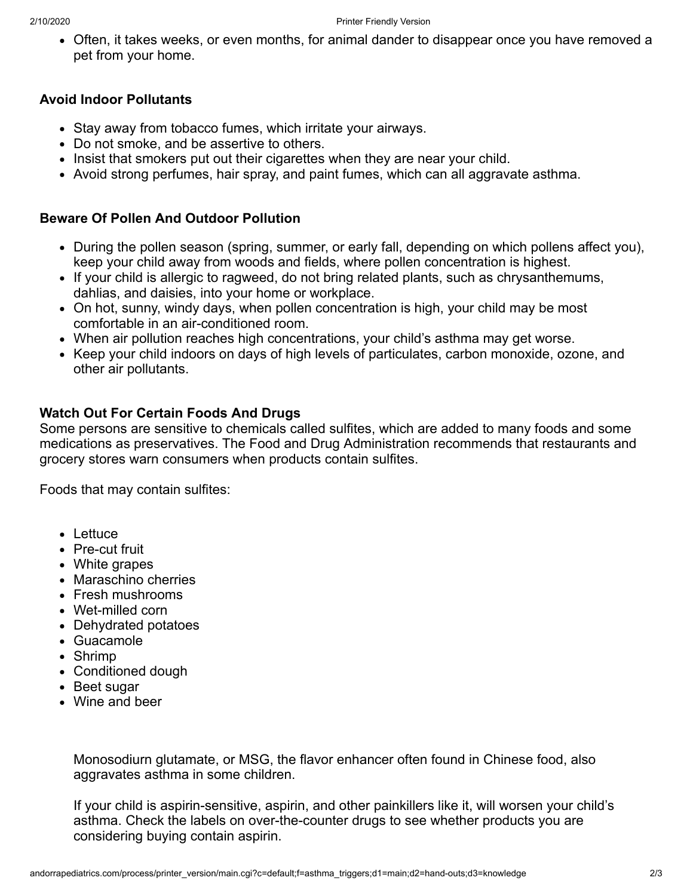Often, it takes weeks, or even months, for animal dander to disappear once you have removed a pet from your home.

#### **Avoid Indoor Pollutants**

- Stay away from tobacco fumes, which irritate your airways.
- Do not smoke, and be assertive to others.
- Insist that smokers put out their cigarettes when they are near your child.
- Avoid strong perfumes, hair spray, and paint fumes, which can all aggravate asthma.

#### **Beware Of Pollen And Outdoor Pollution**

- During the pollen season (spring, summer, or early fall, depending on which pollens affect you), keep your child away from woods and fields, where pollen concentration is highest.
- If your child is allergic to ragweed, do not bring related plants, such as chrysanthemums, dahlias, and daisies, into your home or workplace.
- On hot, sunny, windy days, when pollen concentration is high, your child may be most comfortable in an air-conditioned room.
- When air pollution reaches high concentrations, your child's asthma may get worse.
- Keep your child indoors on days of high levels of particulates, carbon monoxide, ozone, and other air pollutants.

### **Watch Out For Certain Foods And Drugs**

Some persons are sensitive to chemicals called sulfites, which are added to many foods and some medications as preservatives. The Food and Drug Administration recommends that restaurants and grocery stores warn consumers when products contain sulfites.

Foods that may contain sulfites:

- Lettuce
- Pre-cut fruit
- White grapes
- Maraschino cherries
- Fresh mushrooms
- Wet-milled corn
- Dehydrated potatoes
- Guacamole
- Shrimp
- Conditioned dough
- Beet sugar
- Wine and beer

Monosodiurn glutamate, or MSG, the flavor enhancer often found in Chinese food, also aggravates asthma in some children.

If your child is aspirin-sensitive, aspirin, and other painkillers like it, will worsen your child's asthma. Check the labels on over-the-counter drugs to see whether products you are considering buying contain aspirin.